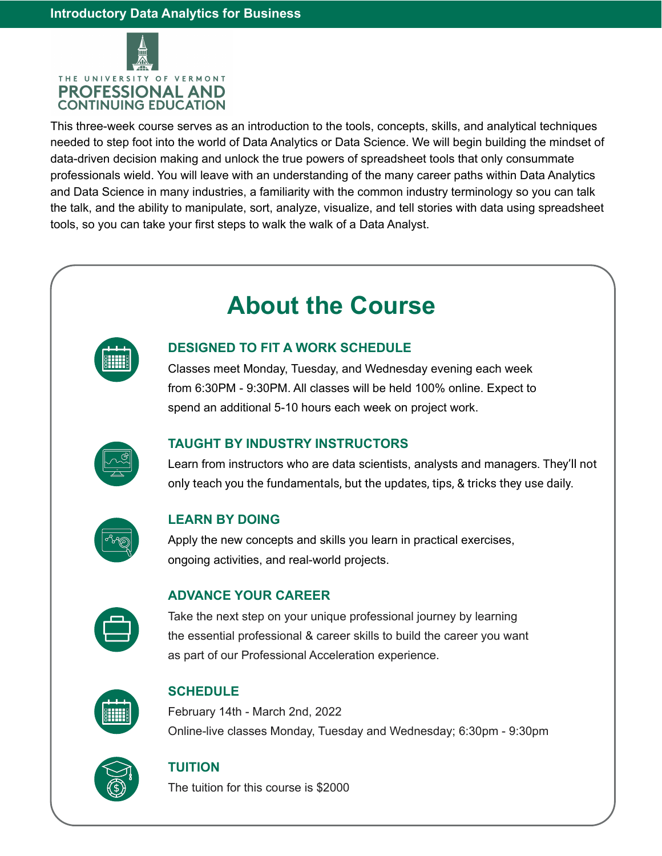

This three-week course serves as an introduction to the tools, concepts, skills, and analytical techniques needed to step foot into the world of Data Analytics or Data Science. We will begin building the mindset of data-driven decision making and unlock the true powers of spreadsheet tools that only consummate professionals wield. You will leave with an understanding of the many career paths within Data Analytics and Data Science in many industries, a familiarity with the common industry terminology so you can talk the talk, and the ability to manipulate, sort, analyze, visualize, and tell stories with data using spreadsheet tools, so you can take your first steps to walk the walk of a Data Analyst.

# **About the Course**

|   | <b>Service Service</b> |   |
|---|------------------------|---|
|   |                        |   |
| ۳ | ┑<br>٦                 | п |
|   |                        |   |

## **DESIGNED TO FIT A WORK SCHEDULE**

Classes meet Monday, Tuesday, and Wednesday evening each week from 6:30PM - 9:30PM. All classes will be held 100% online. Expect to spend an additional 5-10 hours each week on project work.



### **TAUGHT BY INDUSTRY INSTRUCTORS**

Learn from instructors who are data scientists, analysts and managers. They'll not only teach you the fundamentals, but the updates, tips, & tricks they use daily.



#### **LEARN BY DOING**

Apply the new concepts and skills you learn in practical exercises, ongoing activities, and real-world projects.



#### **ADVANCE YOUR CAREER**

Take the next step on your unique professional journey by learning the essential professional & career skills to build the career you want as part of our Professional Acceleration experience.



#### **SCHEDULE**

February 14th - March 2nd, 2022 Online-live classes Monday, Tuesday and Wednesday; 6:30pm - 9:30pm



#### **TUITION**

The tuition for this course is \$2000